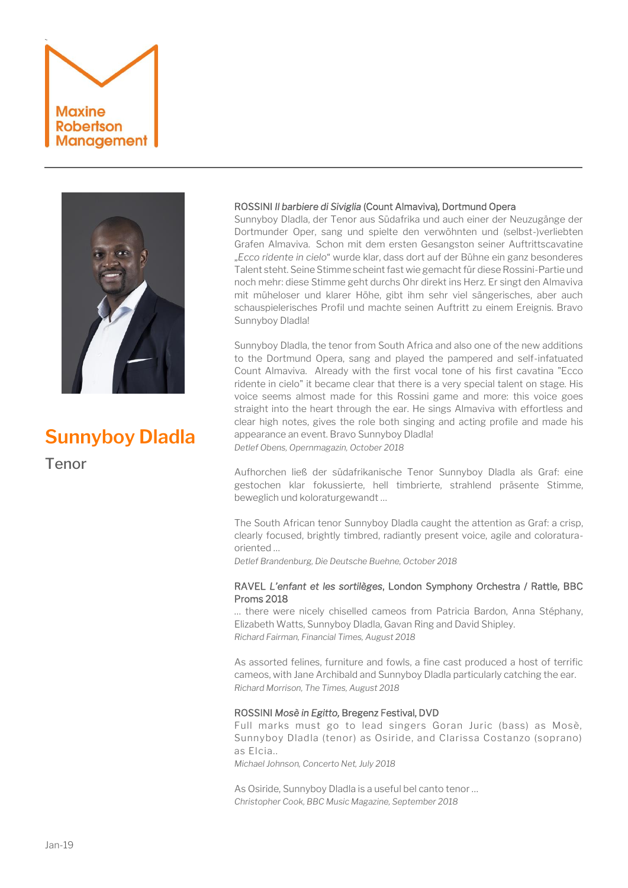# ` **Maxine Robertson** Management



# **Sunnyboy Dladla**

Tenor

# ROSSINI *Il barbiere di Siviglia* (Count Almaviva)*,* Dortmund Opera

Sunnyboy Dladla, der Tenor aus Südafrika und auch einer der Neuzugänge der Dortmunder Oper, sang und spielte den verwöhnten und (selbst-)verliebten Grafen Almaviva. Schon mit dem ersten Gesangston seiner Auftrittscavatine "*Ecco ridente in cielo*" wurde klar, dass dort auf der Bühne ein ganz besonderes Talent steht. Seine Stimme scheint fast wie gemacht für diese Rossini-Partie und noch mehr: diese Stimme geht durchs Ohr direkt ins Herz. Er singt den Almaviva mit müheloser und klarer Höhe, gibt ihm sehr viel sängerisches, aber auch schauspielerisches Profil und machte seinen Auftritt zu einem Ereignis. Bravo Sunnyboy Dladla!

Sunnyboy Dladla, the tenor from South Africa and also one of the new additions to the Dortmund Opera, sang and played the pampered and self-infatuated Count Almaviva. Already with the first vocal tone of his first cavatina "Ecco ridente in cielo" it became clear that there is a very special talent on stage. His voice seems almost made for this Rossini game and more: this voice goes straight into the heart through the ear. He sings Almaviva with effortless and clear high notes, gives the role both singing and acting profile and made his appearance an event. Bravo Sunnyboy Dladla!

*Detlef Obens, Opernmagazin, October 2018*

Aufhorchen ließ der südafrikanische Tenor [Sunnyboy Dladla](https://www.theaterdo.de/biografien-lightbox/person/sunnyboy-dladla/?lightbox=1&iframe=true&width=637&height=100%25&cHash=9b8d4d914778cda9045b95e152b3abe4) als Graf: eine gestochen klar fokussierte, hell timbrierte, strahlend präsente Stimme, beweglich und koloraturgewandt …

The South African tenor Sunnyboy Dladla caught the attention as Graf: a crisp, clearly focused, brightly timbred, radiantly present voice, agile and coloraturaoriented …

*Detlef Brandenburg, Die Deutsche Buehne, October 2018*

# RAVEL *L'enfant et les sortilèges*, London Symphony Orchestra / Rattle, BBC Proms 2018

… there were nicely chiselled cameos from Patricia Bardon, Anna Stéphany, Elizabeth Watts, Sunnyboy Dladla, Gavan Ring and David Shipley. *Richard Fairman, Financial Times, August 2018*

As assorted felines, furniture and fowls, a fine cast produced a host of terrific cameos, with Jane Archibald and Sunnyboy Dladla particularly catching the ear. *Richard Morrison, The Times, August 2018*

### ROSSINI *Mosè in Egitto,* Bregenz Festival, DVD

Full marks must go to lead singers Goran Juric (bass) as Mosè, Sunnyboy Dladla (tenor) as Osiride, and Clarissa Costanzo (soprano) as Elcia..

*Michael Johnson, Concerto Net, July 2018*

As Osiride, Sunnyboy Dladla is a useful bel canto tenor … *Christopher Cook, BBC Music Magazine, September 2018*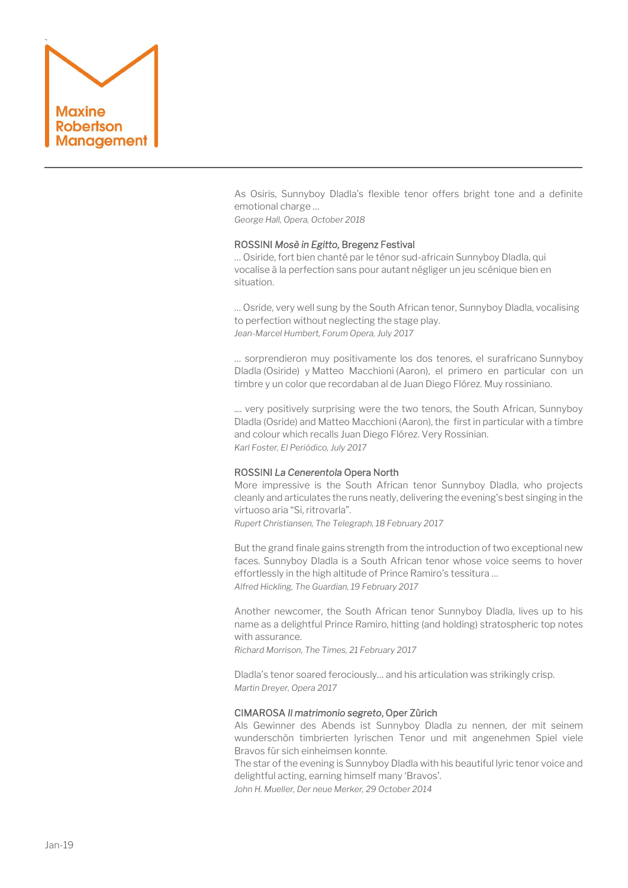

As Osiris, Sunnyboy Dladla's flexible tenor offers bright tone and a definite emotional charge …

*George Hall, Opera, October 2018*

#### ROSSINI *Mosè in Egitto,* Bregenz Festival

… Osiride, fort bien chanté par le ténor sud-africain Sunnyboy Dladla, qui vocalise à la perfection sans pour autant négliger un jeu scénique bien en situation.

… Osride, very well sung by the South African tenor, Sunnyboy Dladla, vocalising to perfection without neglecting the stage play. *Jean-Marcel Humbert, Forum Opera, July 2017*

… sorprendieron muy positivamente los dos tenores, el surafricano Sunnyboy Dladla (Osiride) y Matteo Macchioni (Aaron), el primero en particular con un timbre y un color que recordaban al de Juan Diego Flórez. Muy rossiniano.

.... very positively surprising were the two tenors, the South African, Sunnyboy Dladla (Osride) and Matteo Macchioni (Aaron), the first in particular with a timbre and colour which recalls Juan Diego Flórez. Very Rossinian. *Karl Foster, El Periódico, July 2017*

#### ROSSINI *La Cenerentola* Opera North

More impressive is the South African tenor Sunnyboy Dladla, who projects cleanly and articulates the runs neatly, delivering the evening's best singing in the virtuoso aria "Si, ritrovarla".

*Rupert Christiansen, The Telegraph, 18 February 2017*

But the grand finale gains strength from the introduction of two exceptional new faces. [Sunnyboy Dladla](https://www.youtube.com/watch?v=9TyfDHI2vnA) is a South African tenor whose voice seems to hover effortlessly in the high altitude of Prince Ramiro's tessitura … *Alfred Hickling, The Guardian, 19 February 2017*

Another newcomer, the South African tenor Sunnyboy Dladla, lives up to his name as a delightful Prince Ramiro, hitting (and holding) stratospheric top notes with assurance.

*Richard Morrison, The Times, 21 February 2017*

Dladla's tenor soared ferociously… and his articulation was strikingly crisp. *Martin Dreyer, Opera 2017*

#### CIMAROSA *Il matrimonio segreto*, Oper Zürich

Als Gewinner des Abends ist Sunnyboy Dladla zu nennen, der mit seinem wunderschön timbrierten lyrischen Tenor und mit angenehmen Spiel viele Bravos für sich einheimsen konnte.

The star of the evening is Sunnyboy Dladla with his beautiful lyric tenor voice and delightful acting, earning himself many 'Bravos'.

*John H. Mueller, Der neue Merker, 29 October 2014*